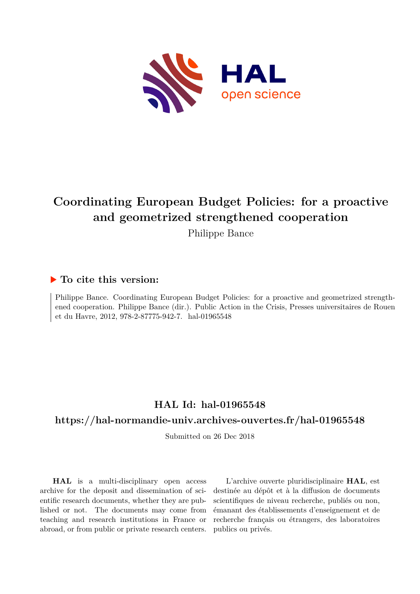

# **Coordinating European Budget Policies: for a proactive and geometrized strengthened cooperation**

Philippe Bance

# **To cite this version:**

Philippe Bance. Coordinating European Budget Policies: for a proactive and geometrized strengthened cooperation. Philippe Bance (dir.). Public Action in the Crisis, Presses universitaires de Rouen et du Havre, 2012, 978-2-87775-942-7. hal-01965548

# **HAL Id: hal-01965548**

## **<https://hal-normandie-univ.archives-ouvertes.fr/hal-01965548>**

Submitted on 26 Dec 2018

**HAL** is a multi-disciplinary open access archive for the deposit and dissemination of scientific research documents, whether they are published or not. The documents may come from teaching and research institutions in France or abroad, or from public or private research centers.

L'archive ouverte pluridisciplinaire **HAL**, est destinée au dépôt et à la diffusion de documents scientifiques de niveau recherche, publiés ou non, émanant des établissements d'enseignement et de recherche français ou étrangers, des laboratoires publics ou privés.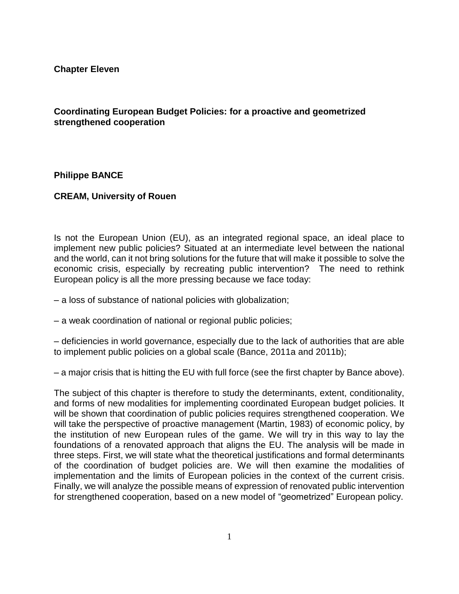**Chapter Eleven**

### **Coordinating European Budget Policies: for a proactive and geometrized strengthened cooperation**

#### **Philippe BANCE**

#### **CREAM, University of Rouen**

Is not the European Union (EU), as an integrated regional space, an ideal place to implement new public policies? Situated at an intermediate level between the national and the world, can it not bring solutions for the future that will make it possible to solve the economic crisis, especially by recreating public intervention? The need to rethink European policy is all the more pressing because we face today:

– a loss of substance of national policies with globalization;

– a weak coordination of national or regional public policies;

– deficiencies in world governance, especially due to the lack of authorities that are able to implement public policies on a global scale (Bance, 2011a and 2011b);

– a major crisis that is hitting the EU with full force (see the first chapter by Bance above).

The subject of this chapter is therefore to study the determinants, extent, conditionality, and forms of new modalities for implementing coordinated European budget policies. It will be shown that coordination of public policies requires strengthened cooperation. We will take the perspective of proactive management (Martin, 1983) of economic policy, by the institution of new European rules of the game. We will try in this way to lay the foundations of a renovated approach that aligns the EU. The analysis will be made in three steps. First, we will state what the theoretical justifications and formal determinants of the coordination of budget policies are. We will then examine the modalities of implementation and the limits of European policies in the context of the current crisis. Finally, we will analyze the possible means of expression of renovated public intervention for strengthened cooperation, based on a new model of "geometrized" European policy.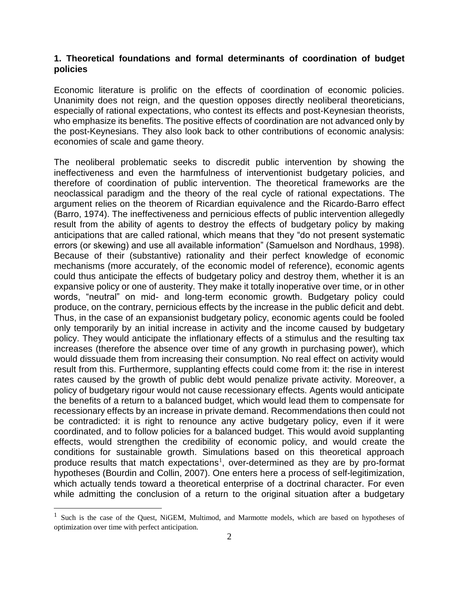#### **1. Theoretical foundations and formal determinants of coordination of budget policies**

Economic literature is prolific on the effects of coordination of economic policies. Unanimity does not reign, and the question opposes directly neoliberal theoreticians, especially of rational expectations, who contest its effects and post-Keynesian theorists, who emphasize its benefits. The positive effects of coordination are not advanced only by the post-Keynesians. They also look back to other contributions of economic analysis: economies of scale and game theory.

The neoliberal problematic seeks to discredit public intervention by showing the ineffectiveness and even the harmfulness of interventionist budgetary policies, and therefore of coordination of public intervention. The theoretical frameworks are the neoclassical paradigm and the theory of the real cycle of rational expectations. The argument relies on the theorem of Ricardian equivalence and the Ricardo-Barro effect (Barro, 1974). The ineffectiveness and pernicious effects of public intervention allegedly result from the ability of agents to destroy the effects of budgetary policy by making anticipations that are called rational, which means that they "do not present systematic errors (or skewing) and use all available information" (Samuelson and Nordhaus, 1998). Because of their (substantive) rationality and their perfect knowledge of economic mechanisms (more accurately, of the economic model of reference), economic agents could thus anticipate the effects of budgetary policy and destroy them, whether it is an expansive policy or one of austerity. They make it totally inoperative over time, or in other words, "neutral" on mid- and long-term economic growth. Budgetary policy could produce, on the contrary, pernicious effects by the increase in the public deficit and debt. Thus, in the case of an expansionist budgetary policy, economic agents could be fooled only temporarily by an initial increase in activity and the income caused by budgetary policy. They would anticipate the inflationary effects of a stimulus and the resulting tax increases (therefore the absence over time of any growth in purchasing power), which would dissuade them from increasing their consumption. No real effect on activity would result from this. Furthermore, supplanting effects could come from it: the rise in interest rates caused by the growth of public debt would penalize private activity. Moreover, a policy of budgetary rigour would not cause recessionary effects. Agents would anticipate the benefits of a return to a balanced budget, which would lead them to compensate for recessionary effects by an increase in private demand. Recommendations then could not be contradicted: it is right to renounce any active budgetary policy, even if it were coordinated, and to follow policies for a balanced budget. This would avoid supplanting effects, would strengthen the credibility of economic policy, and would create the conditions for sustainable growth. Simulations based on this theoretical approach produce results that match expectations<sup>1</sup>, over-determined as they are by pro-format hypotheses (Bourdin and Collin, 2007). One enters here a process of self-legitimization, which actually tends toward a theoretical enterprise of a doctrinal character. For even while admitting the conclusion of a return to the original situation after a budgetary

<sup>&</sup>lt;sup>1</sup> Such is the case of the Quest, NiGEM, Multimod, and Marmotte models, which are based on hypotheses of optimization over time with perfect anticipation.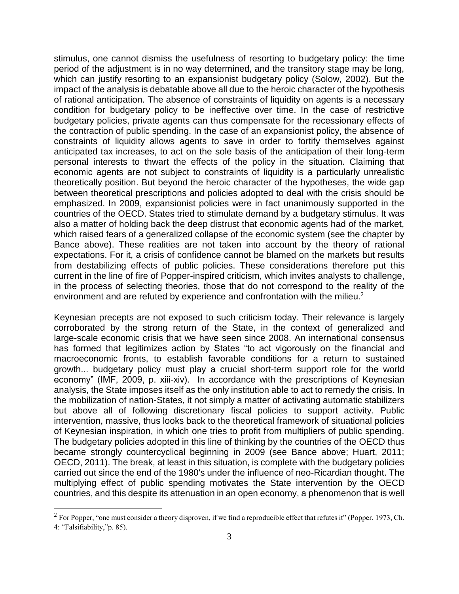stimulus, one cannot dismiss the usefulness of resorting to budgetary policy: the time period of the adjustment is in no way determined, and the transitory stage may be long, which can justify resorting to an expansionist budgetary policy (Solow, 2002). But the impact of the analysis is debatable above all due to the heroic character of the hypothesis of rational anticipation. The absence of constraints of liquidity on agents is a necessary condition for budgetary policy to be ineffective over time. In the case of restrictive budgetary policies, private agents can thus compensate for the recessionary effects of the contraction of public spending. In the case of an expansionist policy, the absence of constraints of liquidity allows agents to save in order to fortify themselves against anticipated tax increases, to act on the sole basis of the anticipation of their long-term personal interests to thwart the effects of the policy in the situation. Claiming that economic agents are not subject to constraints of liquidity is a particularly unrealistic theoretically position. But beyond the heroic character of the hypotheses, the wide gap between theoretical prescriptions and policies adopted to deal with the crisis should be emphasized. In 2009, expansionist policies were in fact unanimously supported in the countries of the OECD. States tried to stimulate demand by a budgetary stimulus. It was also a matter of holding back the deep distrust that economic agents had of the market, which raised fears of a generalized collapse of the economic system (see the chapter by Bance above). These realities are not taken into account by the theory of rational expectations. For it, a crisis of confidence cannot be blamed on the markets but results from destabilizing effects of public policies. These considerations therefore put this current in the line of fire of Popper-inspired criticism, which invites analysts to challenge, in the process of selecting theories, those that do not correspond to the reality of the environment and are refuted by experience and confrontation with the milieu. $2$ 

Keynesian precepts are not exposed to such criticism today. Their relevance is largely corroborated by the strong return of the State, in the context of generalized and large-scale economic crisis that we have seen since 2008. An international consensus has formed that legitimizes action by States "to act vigorously on the financial and macroeconomic fronts, to establish favorable conditions for a return to sustained growth... budgetary policy must play a crucial short-term support role for the world economy" (IMF, 2009, p. xiii-xiv). In accordance with the prescriptions of Keynesian analysis, the State imposes itself as the only institution able to act to remedy the crisis. In the mobilization of nation-States, it not simply a matter of activating automatic stabilizers but above all of following discretionary fiscal policies to support activity. Public intervention, massive, thus looks back to the theoretical framework of situational policies of Keynesian inspiration, in which one tries to profit from multipliers of public spending. The budgetary policies adopted in this line of thinking by the countries of the OECD thus became strongly countercyclical beginning in 2009 (see Bance above; Huart, 2011; OECD, 2011). The break, at least in this situation, is complete with the budgetary policies carried out since the end of the 1980's under the influence of neo-Ricardian thought. The multiplying effect of public spending motivates the State intervention by the OECD countries, and this despite its attenuation in an open economy, a phenomenon that is well

 $2^2$  For Popper, "one must consider a theory disproven, if we find a reproducible effect that refutes it" (Popper, 1973, Ch. 4: "Falsifiability,"p. 85).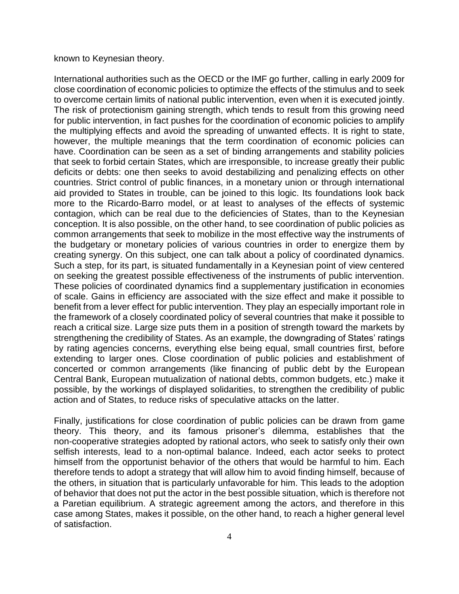#### known to Keynesian theory.

International authorities such as the OECD or the IMF go further, calling in early 2009 for close coordination of economic policies to optimize the effects of the stimulus and to seek to overcome certain limits of national public intervention, even when it is executed jointly. The risk of protectionism gaining strength, which tends to result from this growing need for public intervention, in fact pushes for the coordination of economic policies to amplify the multiplying effects and avoid the spreading of unwanted effects. It is right to state, however, the multiple meanings that the term coordination of economic policies can have. Coordination can be seen as a set of binding arrangements and stability policies that seek to forbid certain States, which are irresponsible, to increase greatly their public deficits or debts: one then seeks to avoid destabilizing and penalizing effects on other countries. Strict control of public finances, in a monetary union or through international aid provided to States in trouble, can be joined to this logic. Its foundations look back more to the Ricardo-Barro model, or at least to analyses of the effects of systemic contagion, which can be real due to the deficiencies of States, than to the Keynesian conception. It is also possible, on the other hand, to see coordination of public policies as common arrangements that seek to mobilize in the most effective way the instruments of the budgetary or monetary policies of various countries in order to energize them by creating synergy. On this subject, one can talk about a policy of coordinated dynamics. Such a step, for its part, is situated fundamentally in a Keynesian point of view centered on seeking the greatest possible effectiveness of the instruments of public intervention. These policies of coordinated dynamics find a supplementary justification in economies of scale. Gains in efficiency are associated with the size effect and make it possible to benefit from a lever effect for public intervention. They play an especially important role in the framework of a closely coordinated policy of several countries that make it possible to reach a critical size. Large size puts them in a position of strength toward the markets by strengthening the credibility of States. As an example, the downgrading of States' ratings by rating agencies concerns, everything else being equal, small countries first, before extending to larger ones. Close coordination of public policies and establishment of concerted or common arrangements (like financing of public debt by the European Central Bank, European mutualization of national debts, common budgets, etc.) make it possible, by the workings of displayed solidarities, to strengthen the credibility of public action and of States, to reduce risks of speculative attacks on the latter.

Finally, justifications for close coordination of public policies can be drawn from game theory. This theory, and its famous prisoner's dilemma, establishes that the non-cooperative strategies adopted by rational actors, who seek to satisfy only their own selfish interests, lead to a non-optimal balance. Indeed, each actor seeks to protect himself from the opportunist behavior of the others that would be harmful to him. Each therefore tends to adopt a strategy that will allow him to avoid finding himself, because of the others, in situation that is particularly unfavorable for him. This leads to the adoption of behavior that does not put the actor in the best possible situation, which is therefore not a Paretian equilibrium. A strategic agreement among the actors, and therefore in this case among States, makes it possible, on the other hand, to reach a higher general level of satisfaction.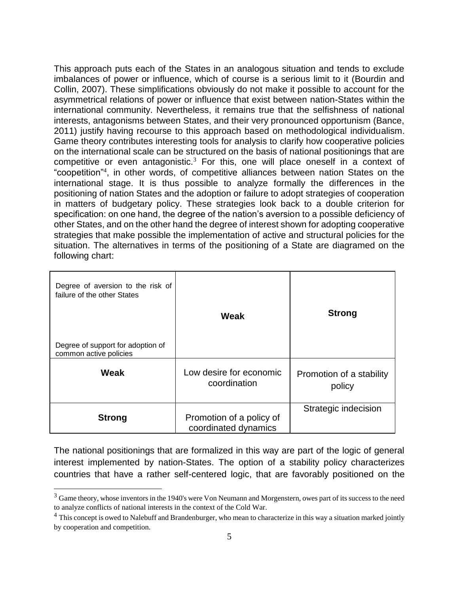This approach puts each of the States in an analogous situation and tends to exclude imbalances of power or influence, which of course is a serious limit to it (Bourdin and Collin, 2007). These simplifications obviously do not make it possible to account for the asymmetrical relations of power or influence that exist between nation-States within the international community. Nevertheless, it remains true that the selfishness of national interests, antagonisms between States, and their very pronounced opportunism (Bance, 2011) justify having recourse to this approach based on methodological individualism. Game theory contributes interesting tools for analysis to clarify how cooperative policies on the international scale can be structured on the basis of national positionings that are competitive or even antagonistic.<sup>3</sup> For this, one will place oneself in a context of "coopetition"<sup>4</sup> , in other words, of competitive alliances between nation States on the international stage. It is thus possible to analyze formally the differences in the positioning of nation States and the adoption or failure to adopt strategies of cooperation in matters of budgetary policy. These strategies look back to a double criterion for specification: on one hand, the degree of the nation's aversion to a possible deficiency of other States, and on the other hand the degree of interest shown for adopting cooperative strategies that make possible the implementation of active and structural policies for the situation. The alternatives in terms of the positioning of a State are diagramed on the following chart:

| Degree of aversion to the risk of<br>failure of the other States<br>Degree of support for adoption of<br>common active policies | Weak                                             | <b>Strong</b>                      |
|---------------------------------------------------------------------------------------------------------------------------------|--------------------------------------------------|------------------------------------|
| Weak                                                                                                                            | Low desire for economic<br>coordination          | Promotion of a stability<br>policy |
| <b>Strong</b>                                                                                                                   | Promotion of a policy of<br>coordinated dynamics | Strategic indecision               |

The national positionings that are formalized in this way are part of the logic of general interest implemented by nation-States. The option of a stability policy characterizes countries that have a rather self-centered logic, that are favorably positioned on the

<sup>&</sup>lt;sup>3</sup> Game theory, whose inventors in the 1940's were Von Neumann and Morgenstern, owes part of its success to the need to analyze conflicts of national interests in the context of the Cold War.

<sup>&</sup>lt;sup>4</sup> This concept is owed to Nalebuff and Brandenburger, who mean to characterize in this way a situation marked jointly by cooperation and competition.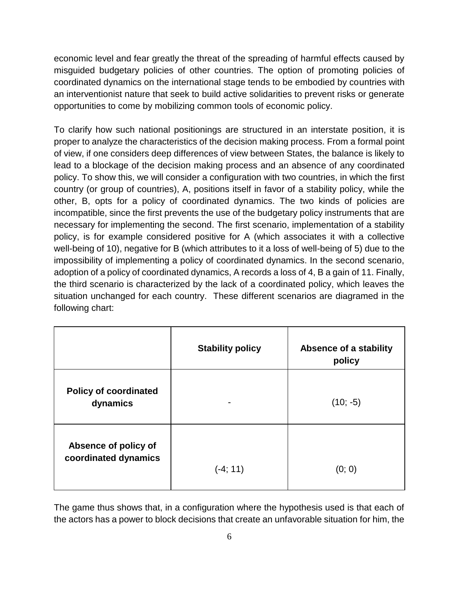economic level and fear greatly the threat of the spreading of harmful effects caused by misguided budgetary policies of other countries. The option of promoting policies of coordinated dynamics on the international stage tends to be embodied by countries with an interventionist nature that seek to build active solidarities to prevent risks or generate opportunities to come by mobilizing common tools of economic policy.

To clarify how such national positionings are structured in an interstate position, it is proper to analyze the characteristics of the decision making process. From a formal point of view, if one considers deep differences of view between States, the balance is likely to lead to a blockage of the decision making process and an absence of any coordinated policy. To show this, we will consider a configuration with two countries, in which the first country (or group of countries), A, positions itself in favor of a stability policy, while the other, B, opts for a policy of coordinated dynamics. The two kinds of policies are incompatible, since the first prevents the use of the budgetary policy instruments that are necessary for implementing the second. The first scenario, implementation of a stability policy, is for example considered positive for A (which associates it with a collective well-being of 10), negative for B (which attributes to it a loss of well-being of 5) due to the impossibility of implementing a policy of coordinated dynamics. In the second scenario, adoption of a policy of coordinated dynamics, A records a loss of 4, B a gain of 11. Finally, the third scenario is characterized by the lack of a coordinated policy, which leaves the situation unchanged for each country. These different scenarios are diagramed in the following chart:

|                                              | <b>Stability policy</b> | Absence of a stability<br>policy |
|----------------------------------------------|-------------------------|----------------------------------|
| <b>Policy of coordinated</b><br>dynamics     |                         | $(10; -5)$                       |
| Absence of policy of<br>coordinated dynamics | $(-4; 11)$              | (0; 0)                           |

The game thus shows that, in a configuration where the hypothesis used is that each of the actors has a power to block decisions that create an unfavorable situation for him, the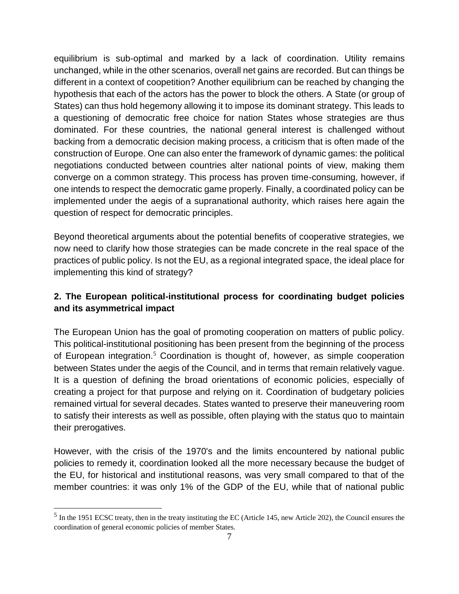equilibrium is sub-optimal and marked by a lack of coordination. Utility remains unchanged, while in the other scenarios, overall net gains are recorded. But can things be different in a context of coopetition? Another equilibrium can be reached by changing the hypothesis that each of the actors has the power to block the others. A State (or group of States) can thus hold hegemony allowing it to impose its dominant strategy. This leads to a questioning of democratic free choice for nation States whose strategies are thus dominated. For these countries, the national general interest is challenged without backing from a democratic decision making process, a criticism that is often made of the construction of Europe. One can also enter the framework of dynamic games: the political negotiations conducted between countries alter national points of view, making them converge on a common strategy. This process has proven time-consuming, however, if one intends to respect the democratic game properly. Finally, a coordinated policy can be implemented under the aegis of a supranational authority, which raises here again the question of respect for democratic principles.

Beyond theoretical arguments about the potential benefits of cooperative strategies, we now need to clarify how those strategies can be made concrete in the real space of the practices of public policy. Is not the EU, as a regional integrated space, the ideal place for implementing this kind of strategy?

# **2. The European political-institutional process for coordinating budget policies and its asymmetrical impact**

The European Union has the goal of promoting cooperation on matters of public policy. This political-institutional positioning has been present from the beginning of the process of European integration.<sup>5</sup> Coordination is thought of, however, as simple cooperation between States under the aegis of the Council, and in terms that remain relatively vague. It is a question of defining the broad orientations of economic policies, especially of creating a project for that purpose and relying on it. Coordination of budgetary policies remained virtual for several decades. States wanted to preserve their maneuvering room to satisfy their interests as well as possible, often playing with the status quo to maintain their prerogatives.

However, with the crisis of the 1970's and the limits encountered by national public policies to remedy it, coordination looked all the more necessary because the budget of the EU, for historical and institutional reasons, was very small compared to that of the member countries: it was only 1% of the GDP of the EU, while that of national public

 $<sup>5</sup>$  In the 1951 ECSC treaty, then in the treaty instituting the EC (Article 145, new Article 202), the Council ensures the</sup> coordination of general economic policies of member States.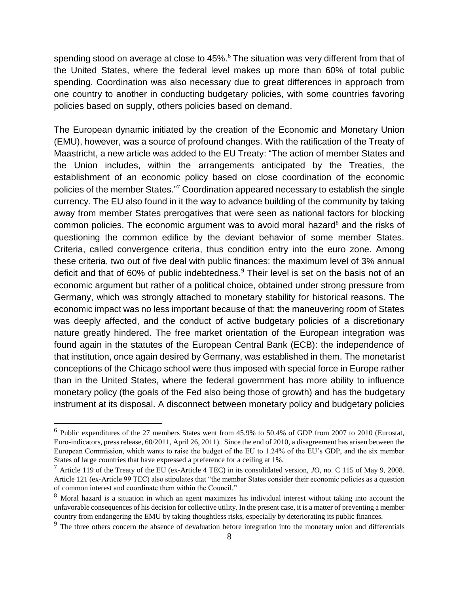spending stood on average at close to 45%.<sup>6</sup> The situation was very different from that of the United States, where the federal level makes up more than 60% of total public spending. Coordination was also necessary due to great differences in approach from one country to another in conducting budgetary policies, with some countries favoring policies based on supply, others policies based on demand.

The European dynamic initiated by the creation of the Economic and Monetary Union (EMU), however, was a source of profound changes. With the ratification of the Treaty of Maastricht, a new article was added to the EU Treaty: "The action of member States and the Union includes, within the arrangements anticipated by the Treaties, the establishment of an economic policy based on close coordination of the economic policies of the member States."<sup>7</sup> Coordination appeared necessary to establish the single currency. The EU also found in it the way to advance building of the community by taking away from member States prerogatives that were seen as national factors for blocking common policies. The economic argument was to avoid moral hazard $8$  and the risks of questioning the common edifice by the deviant behavior of some member States. Criteria, called convergence criteria, thus condition entry into the euro zone. Among these criteria, two out of five deal with public finances: the maximum level of 3% annual deficit and that of 60% of public indebtedness.<sup>9</sup> Their level is set on the basis not of an economic argument but rather of a political choice, obtained under strong pressure from Germany, which was strongly attached to monetary stability for historical reasons. The economic impact was no less important because of that: the maneuvering room of States was deeply affected, and the conduct of active budgetary policies of a discretionary nature greatly hindered. The free market orientation of the European integration was found again in the statutes of the European Central Bank (ECB): the independence of that institution, once again desired by Germany, was established in them. The monetarist conceptions of the Chicago school were thus imposed with special force in Europe rather than in the United States, where the federal government has more ability to influence monetary policy (the goals of the Fed also being those of growth) and has the budgetary instrument at its disposal. A disconnect between monetary policy and budgetary policies

<sup>&</sup>lt;sup>6</sup> Public expenditures of the 27 members States went from 45.9% to 50.4% of GDP from 2007 to 2010 (Eurostat, Euro-indicators, press release, 60/2011, April 26, 2011). Since the end of 2010, a disagreement has arisen between the European Commission, which wants to raise the budget of the EU to 1.24% of the EU's GDP, and the six member States of large countries that have expressed a preference for a ceiling at 1%.

<sup>7</sup> Article 119 of the Treaty of the EU (ex-Article 4 TEC) in its consolidated version, *JO*, no. C 115 of May 9, 2008. Article 121 (ex-Article 99 TEC) also stipulates that "the member States consider their economic policies as a question of common interest and coordinate them within the Council."

<sup>&</sup>lt;sup>8</sup> Moral hazard is a situation in which an agent maximizes his individual interest without taking into account the unfavorable consequences of his decision for collective utility. In the present case, it is a matter of preventing a member country from endangering the EMU by taking thoughtless risks, especially by deteriorating its public finances.

<sup>&</sup>lt;sup>9</sup> The three others concern the absence of devaluation before integration into the monetary union and differentials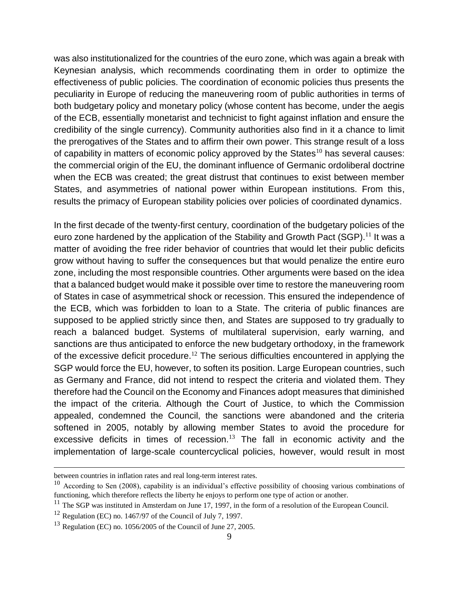was also institutionalized for the countries of the euro zone, which was again a break with Keynesian analysis, which recommends coordinating them in order to optimize the effectiveness of public policies. The coordination of economic policies thus presents the peculiarity in Europe of reducing the maneuvering room of public authorities in terms of both budgetary policy and monetary policy (whose content has become, under the aegis of the ECB, essentially monetarist and technicist to fight against inflation and ensure the credibility of the single currency). Community authorities also find in it a chance to limit the prerogatives of the States and to affirm their own power. This strange result of a loss of capability in matters of economic policy approved by the States<sup>10</sup> has several causes: the commercial origin of the EU, the dominant influence of Germanic ordoliberal doctrine when the ECB was created; the great distrust that continues to exist between member States, and asymmetries of national power within European institutions. From this, results the primacy of European stability policies over policies of coordinated dynamics.

In the first decade of the twenty-first century, coordination of the budgetary policies of the euro zone hardened by the application of the Stability and Growth Pact (SGP).<sup>11</sup> It was a matter of avoiding the free rider behavior of countries that would let their public deficits grow without having to suffer the consequences but that would penalize the entire euro zone, including the most responsible countries. Other arguments were based on the idea that a balanced budget would make it possible over time to restore the maneuvering room of States in case of asymmetrical shock or recession. This ensured the independence of the ECB, which was forbidden to loan to a State. The criteria of public finances are supposed to be applied strictly since then, and States are supposed to try gradually to reach a balanced budget. Systems of multilateral supervision, early warning, and sanctions are thus anticipated to enforce the new budgetary orthodoxy, in the framework of the excessive deficit procedure.<sup>12</sup> The serious difficulties encountered in applying the SGP would force the EU, however, to soften its position. Large European countries, such as Germany and France, did not intend to respect the criteria and violated them. They therefore had the Council on the Economy and Finances adopt measures that diminished the impact of the criteria. Although the Court of Justice, to which the Commission appealed, condemned the Council, the sanctions were abandoned and the criteria softened in 2005, notably by allowing member States to avoid the procedure for excessive deficits in times of recession. $13$  The fall in economic activity and the implementation of large-scale countercyclical policies, however, would result in most

l

between countries in inflation rates and real long-term interest rates.

 $^{10}$  According to Sen (2008), capability is an individual's effective possibility of choosing various combinations of functioning, which therefore reflects the liberty he enjoys to perform one type of action or another.

 $11$  The SGP was instituted in Amsterdam on June 17, 1997, in the form of a resolution of the European Council.

 $12$  Regulation (EC) no. 1467/97 of the Council of July 7, 1997.

 $13$  Regulation (EC) no. 1056/2005 of the Council of June 27, 2005.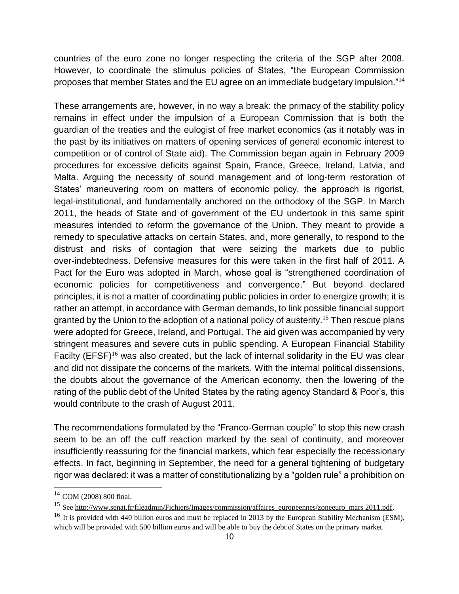countries of the euro zone no longer respecting the criteria of the SGP after 2008. However, to coordinate the stimulus policies of States, "the European Commission proposes that member States and the EU agree on an immediate budgetary impulsion."<sup>14</sup>

These arrangements are, however, in no way a break: the primacy of the stability policy remains in effect under the impulsion of a European Commission that is both the guardian of the treaties and the eulogist of free market economics (as it notably was in the past by its initiatives on matters of opening services of general economic interest to competition or of control of State aid). The Commission began again in February 2009 procedures for excessive deficits against Spain, France, Greece, Ireland, Latvia, and Malta. Arguing the necessity of sound management and of long-term restoration of States' maneuvering room on matters of economic policy, the approach is rigorist, legal-institutional, and fundamentally anchored on the orthodoxy of the SGP. In March 2011, the heads of State and of government of the EU undertook in this same spirit measures intended to reform the governance of the Union. They meant to provide a remedy to speculative attacks on certain States, and, more generally, to respond to the distrust and risks of contagion that were seizing the markets due to public over-indebtedness. Defensive measures for this were taken in the first half of 2011. A Pact for the Euro was adopted in March, whose goal is "strengthened coordination of economic policies for competitiveness and convergence." But beyond declared principles, it is not a matter of coordinating public policies in order to energize growth; it is rather an attempt, in accordance with German demands, to link possible financial support granted by the Union to the adoption of a national policy of austerity.<sup>15</sup> Then rescue plans were adopted for Greece, Ireland, and Portugal. The aid given was accompanied by very stringent measures and severe cuts in public spending. A European Financial Stability Facilty (EFSF)<sup>16</sup> was also created, but the lack of internal solidarity in the EU was clear and did not dissipate the concerns of the markets. With the internal political dissensions, the doubts about the governance of the American economy, then the lowering of the rating of the public debt of the United States by the rating agency Standard & Poor's, this would contribute to the crash of August 2011.

The recommendations formulated by the "Franco-German couple" to stop this new crash seem to be an off the cuff reaction marked by the seal of continuity, and moreover insufficiently reassuring for the financial markets, which fear especially the recessionary effects. In fact, beginning in September, the need for a general tightening of budgetary rigor was declared: it was a matter of constitutionalizing by a "golden rule" a prohibition on

<sup>14</sup> COM (2008) 800 final.

<sup>&</sup>lt;sup>15</sup> See [http://www.senat.fr/fileadmin/Fichiers/Images/commission/affaires\\_europeennes/zoneeuro\\_mars 2011.pdf.](http://www.senat.fr/fileadmin/Fichiers/Images/commission/affaires_europeennes/zoneeuro_mars%202011.pdf)

<sup>&</sup>lt;sup>16</sup> It is provided with 440 billion euros and must be replaced in 2013 by the European Stability Mechanism (ESM), which will be provided with 500 billion euros and will be able to buy the debt of States on the primary market.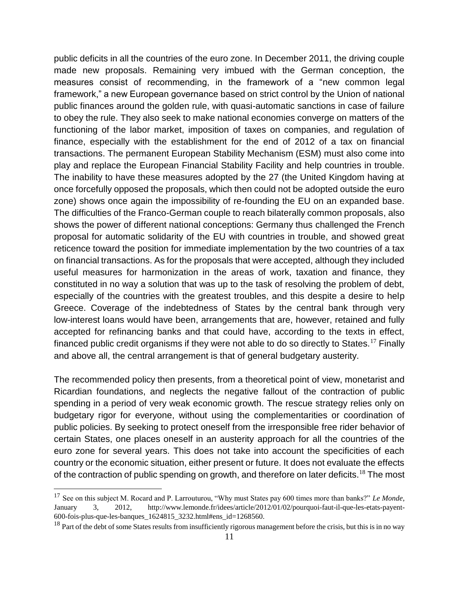public deficits in all the countries of the euro zone. In December 2011, the driving couple made new proposals. Remaining very imbued with the German conception, the measures consist of recommending, in the framework of a "new common legal framework," a new European governance based on strict control by the Union of national public finances around the golden rule, with quasi-automatic sanctions in case of failure to obey the rule. They also seek to make national economies converge on matters of the functioning of the labor market, imposition of taxes on companies, and regulation of finance, especially with the establishment for the end of 2012 of a tax on financial transactions. The permanent European Stability Mechanism (ESM) must also come into play and replace the European Financial Stability Facility and help countries in trouble. The inability to have these measures adopted by the 27 (the United Kingdom having at once forcefully opposed the proposals, which then could not be adopted outside the euro zone) shows once again the impossibility of re-founding the EU on an expanded base. The difficulties of the Franco-German couple to reach bilaterally common proposals, also shows the power of different national conceptions: Germany thus challenged the French proposal for automatic solidarity of the EU with countries in trouble, and showed great reticence toward the position for immediate implementation by the two countries of a tax on financial transactions. As for the proposals that were accepted, although they included useful measures for harmonization in the areas of work, taxation and finance, they constituted in no way a solution that was up to the task of resolving the problem of debt, especially of the countries with the greatest troubles, and this despite a desire to help Greece. Coverage of the indebtedness of States by the central bank through very low-interest loans would have been, arrangements that are, however, retained and fully accepted for refinancing banks and that could have, according to the texts in effect, financed public credit organisms if they were not able to do so directly to States.<sup>17</sup> Finally and above all, the central arrangement is that of general budgetary austerity.

The recommended policy then presents, from a theoretical point of view, monetarist and Ricardian foundations, and neglects the negative fallout of the contraction of public spending in a period of very weak economic growth. The rescue strategy relies only on budgetary rigor for everyone, without using the complementarities or coordination of public policies. By seeking to protect oneself from the irresponsible free rider behavior of certain States, one places oneself in an austerity approach for all the countries of the euro zone for several years. This does not take into account the specificities of each country or the economic situation, either present or future. It does not evaluate the effects of the contraction of public spending on growth, and therefore on later deficits.<sup>18</sup> The most

<sup>17</sup> See on this subject M. Rocard and P. Larrouturou, "Why must States pay 600 times more than banks?" *Le Monde*, January 3, 2012, http://www.lemonde.fr/idees/article/2012/01/02/pourquoi-faut-il-que-les-etats-payent-600-fois-plus-que-les-banques\_1624815\_3232.html#ens\_id=1268560.

<sup>&</sup>lt;sup>18</sup> Part of the debt of some States results from insufficiently rigorous management before the crisis, but this is in no way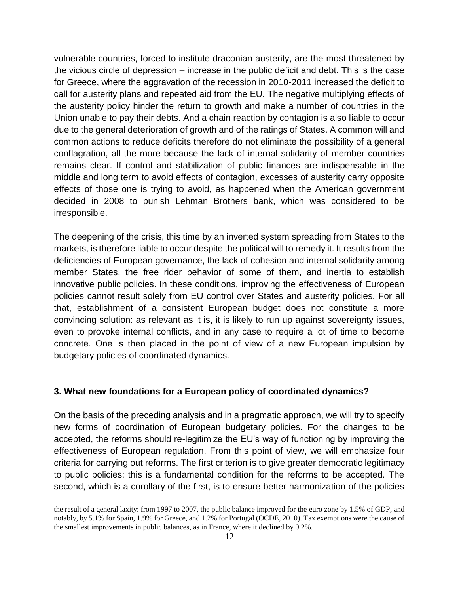vulnerable countries, forced to institute draconian austerity, are the most threatened by the vicious circle of depression – increase in the public deficit and debt. This is the case for Greece, where the aggravation of the recession in 2010-2011 increased the deficit to call for austerity plans and repeated aid from the EU. The negative multiplying effects of the austerity policy hinder the return to growth and make a number of countries in the Union unable to pay their debts. And a chain reaction by contagion is also liable to occur due to the general deterioration of growth and of the ratings of States. A common will and common actions to reduce deficits therefore do not eliminate the possibility of a general conflagration, all the more because the lack of internal solidarity of member countries remains clear. If control and stabilization of public finances are indispensable in the middle and long term to avoid effects of contagion, excesses of austerity carry opposite effects of those one is trying to avoid, as happened when the American government decided in 2008 to punish Lehman Brothers bank, which was considered to be irresponsible.

The deepening of the crisis, this time by an inverted system spreading from States to the markets, is therefore liable to occur despite the political will to remedy it. It results from the deficiencies of European governance, the lack of cohesion and internal solidarity among member States, the free rider behavior of some of them, and inertia to establish innovative public policies. In these conditions, improving the effectiveness of European policies cannot result solely from EU control over States and austerity policies. For all that, establishment of a consistent European budget does not constitute a more convincing solution: as relevant as it is, it is likely to run up against sovereignty issues, even to provoke internal conflicts, and in any case to require a lot of time to become concrete. One is then placed in the point of view of a new European impulsion by budgetary policies of coordinated dynamics.

#### **3. What new foundations for a European policy of coordinated dynamics?**

On the basis of the preceding analysis and in a pragmatic approach, we will try to specify new forms of coordination of European budgetary policies. For the changes to be accepted, the reforms should re-legitimize the EU's way of functioning by improving the effectiveness of European regulation. From this point of view, we will emphasize four criteria for carrying out reforms. The first criterion is to give greater democratic legitimacy to public policies: this is a fundamental condition for the reforms to be accepted. The second, which is a corollary of the first, is to ensure better harmonization of the policies

the result of a general laxity: from 1997 to 2007, the public balance improved for the euro zone by 1.5% of GDP, and notably, by 5.1% for Spain, 1.9% for Greece, and 1.2% for Portugal (OCDE, 2010). Tax exemptions were the cause of the smallest improvements in public balances, as in France, where it declined by 0.2%.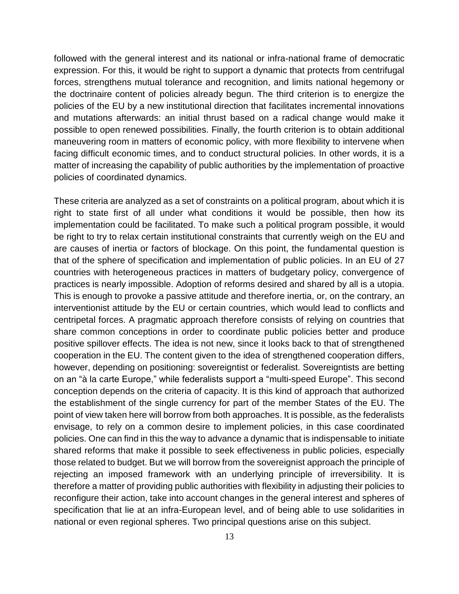followed with the general interest and its national or infra-national frame of democratic expression. For this, it would be right to support a dynamic that protects from centrifugal forces, strengthens mutual tolerance and recognition, and limits national hegemony or the doctrinaire content of policies already begun. The third criterion is to energize the policies of the EU by a new institutional direction that facilitates incremental innovations and mutations afterwards: an initial thrust based on a radical change would make it possible to open renewed possibilities. Finally, the fourth criterion is to obtain additional maneuvering room in matters of economic policy, with more flexibility to intervene when facing difficult economic times, and to conduct structural policies. In other words, it is a matter of increasing the capability of public authorities by the implementation of proactive policies of coordinated dynamics.

These criteria are analyzed as a set of constraints on a political program, about which it is right to state first of all under what conditions it would be possible, then how its implementation could be facilitated. To make such a political program possible, it would be right to try to relax certain institutional constraints that currently weigh on the EU and are causes of inertia or factors of blockage. On this point, the fundamental question is that of the sphere of specification and implementation of public policies. In an EU of 27 countries with heterogeneous practices in matters of budgetary policy, convergence of practices is nearly impossible. Adoption of reforms desired and shared by all is a utopia. This is enough to provoke a passive attitude and therefore inertia, or, on the contrary, an interventionist attitude by the EU or certain countries, which would lead to conflicts and centripetal forces. A pragmatic approach therefore consists of relying on countries that share common conceptions in order to coordinate public policies better and produce positive spillover effects. The idea is not new, since it looks back to that of strengthened cooperation in the EU. The content given to the idea of strengthened cooperation differs, however, depending on positioning: sovereigntist or federalist. Sovereigntists are betting on an "à la carte Europe," while federalists support a "multi-speed Europe". This second conception depends on the criteria of capacity. It is this kind of approach that authorized the establishment of the single currency for part of the member States of the EU. The point of view taken here will borrow from both approaches. It is possible, as the federalists envisage, to rely on a common desire to implement policies, in this case coordinated policies. One can find in this the way to advance a dynamic that is indispensable to initiate shared reforms that make it possible to seek effectiveness in public policies, especially those related to budget. But we will borrow from the sovereignist approach the principle of rejecting an imposed framework with an underlying principle of irreversibility. It is therefore a matter of providing public authorities with flexibility in adjusting their policies to reconfigure their action, take into account changes in the general interest and spheres of specification that lie at an infra-European level, and of being able to use solidarities in national or even regional spheres. Two principal questions arise on this subject.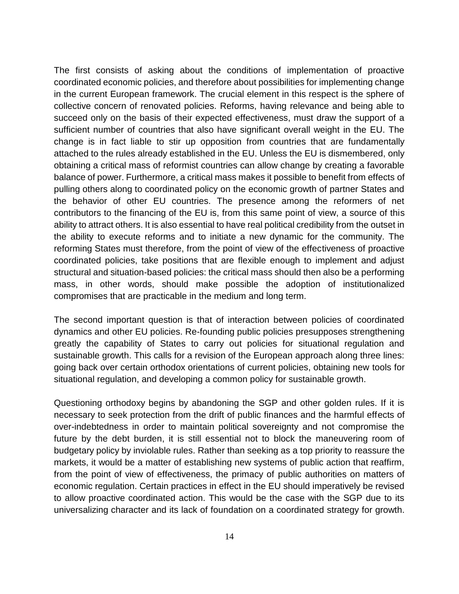The first consists of asking about the conditions of implementation of proactive coordinated economic policies, and therefore about possibilities for implementing change in the current European framework. The crucial element in this respect is the sphere of collective concern of renovated policies. Reforms, having relevance and being able to succeed only on the basis of their expected effectiveness, must draw the support of a sufficient number of countries that also have significant overall weight in the EU. The change is in fact liable to stir up opposition from countries that are fundamentally attached to the rules already established in the EU. Unless the EU is dismembered, only obtaining a critical mass of reformist countries can allow change by creating a favorable balance of power. Furthermore, a critical mass makes it possible to benefit from effects of pulling others along to coordinated policy on the economic growth of partner States and the behavior of other EU countries. The presence among the reformers of net contributors to the financing of the EU is, from this same point of view, a source of this ability to attract others. It is also essential to have real political credibility from the outset in the ability to execute reforms and to initiate a new dynamic for the community. The reforming States must therefore, from the point of view of the effectiveness of proactive coordinated policies, take positions that are flexible enough to implement and adjust structural and situation-based policies: the critical mass should then also be a performing mass, in other words, should make possible the adoption of institutionalized compromises that are practicable in the medium and long term.

The second important question is that of interaction between policies of coordinated dynamics and other EU policies. Re-founding public policies presupposes strengthening greatly the capability of States to carry out policies for situational regulation and sustainable growth. This calls for a revision of the European approach along three lines: going back over certain orthodox orientations of current policies, obtaining new tools for situational regulation, and developing a common policy for sustainable growth.

Questioning orthodoxy begins by abandoning the SGP and other golden rules. If it is necessary to seek protection from the drift of public finances and the harmful effects of over-indebtedness in order to maintain political sovereignty and not compromise the future by the debt burden, it is still essential not to block the maneuvering room of budgetary policy by inviolable rules. Rather than seeking as a top priority to reassure the markets, it would be a matter of establishing new systems of public action that reaffirm, from the point of view of effectiveness, the primacy of public authorities on matters of economic regulation. Certain practices in effect in the EU should imperatively be revised to allow proactive coordinated action. This would be the case with the SGP due to its universalizing character and its lack of foundation on a coordinated strategy for growth.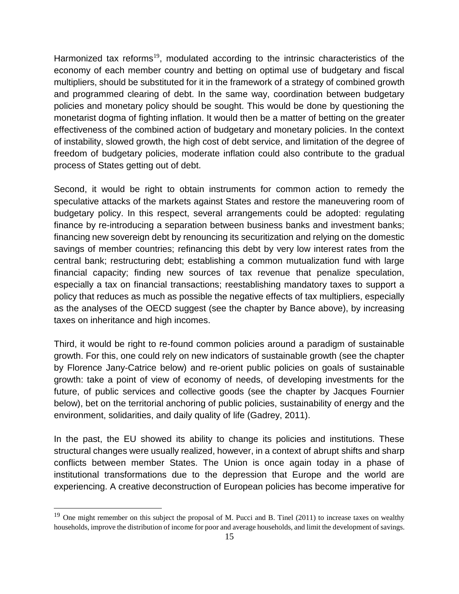Harmonized tax reforms<sup>19</sup>, modulated according to the intrinsic characteristics of the economy of each member country and betting on optimal use of budgetary and fiscal multipliers, should be substituted for it in the framework of a strategy of combined growth and programmed clearing of debt. In the same way, coordination between budgetary policies and monetary policy should be sought. This would be done by questioning the monetarist dogma of fighting inflation. It would then be a matter of betting on the greater effectiveness of the combined action of budgetary and monetary policies. In the context of instability, slowed growth, the high cost of debt service, and limitation of the degree of freedom of budgetary policies, moderate inflation could also contribute to the gradual process of States getting out of debt.

Second, it would be right to obtain instruments for common action to remedy the speculative attacks of the markets against States and restore the maneuvering room of budgetary policy. In this respect, several arrangements could be adopted: regulating finance by re-introducing a separation between business banks and investment banks; financing new sovereign debt by renouncing its securitization and relying on the domestic savings of member countries; refinancing this debt by very low interest rates from the central bank; restructuring debt; establishing a common mutualization fund with large financial capacity; finding new sources of tax revenue that penalize speculation, especially a tax on financial transactions; reestablishing mandatory taxes to support a policy that reduces as much as possible the negative effects of tax multipliers, especially as the analyses of the OECD suggest (see the chapter by Bance above), by increasing taxes on inheritance and high incomes.

Third, it would be right to re-found common policies around a paradigm of sustainable growth. For this, one could rely on new indicators of sustainable growth (see the chapter by Florence Jany-Catrice below) and re-orient public policies on goals of sustainable growth: take a point of view of economy of needs, of developing investments for the future, of public services and collective goods (see the chapter by Jacques Fournier below), bet on the territorial anchoring of public policies, sustainability of energy and the environment, solidarities, and daily quality of life (Gadrey, 2011).

In the past, the EU showed its ability to change its policies and institutions. These structural changes were usually realized, however, in a context of abrupt shifts and sharp conflicts between member States. The Union is once again today in a phase of institutional transformations due to the depression that Europe and the world are experiencing. A creative deconstruction of European policies has become imperative for

<sup>&</sup>lt;sup>19</sup> One might remember on this subject the proposal of M. Pucci and B. Tinel (2011) to increase taxes on wealthy households, improve the distribution of income for poor and average households, and limit the development of savings.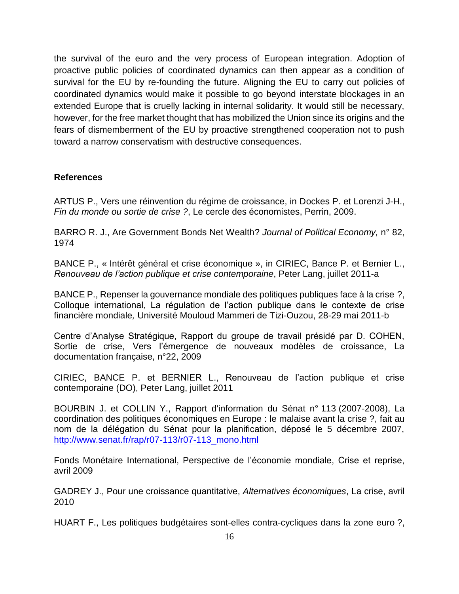the survival of the euro and the very process of European integration. Adoption of proactive public policies of coordinated dynamics can then appear as a condition of survival for the EU by re-founding the future. Aligning the EU to carry out policies of coordinated dynamics would make it possible to go beyond interstate blockages in an extended Europe that is cruelly lacking in internal solidarity. It would still be necessary, however, for the free market thought that has mobilized the Union since its origins and the fears of dismemberment of the EU by proactive strengthened cooperation not to push toward a narrow conservatism with destructive consequences.

#### **References**

ARTUS P., Vers une réinvention du régime de croissance, in Dockes P. et Lorenzi J-H., *Fin du monde ou sortie de crise ?*, Le cercle des économistes, Perrin, 2009.

BARRO R. J., Are Government Bonds Net Wealth? *Journal of Political Economy,* n° 82, 1974

BANCE P., « Intérêt général et crise économique », in CIRIEC, Bance P. et Bernier L., *Renouveau de l'action publique et crise contemporaine*, Peter Lang, juillet 2011-a

BANCE P., Repenser la gouvernance mondiale des politiques publiques face à la crise ?, Colloque international, La régulation de l'action publique dans le contexte de crise financière mondiale*,* Université Mouloud Mammeri de Tizi-Ouzou, 28-29 mai 2011-b

Centre d'Analyse Stratégique, Rapport du groupe de travail présidé par D. COHEN, Sortie de crise, Vers l'émergence de nouveaux modèles de croissance, La documentation française, n°22, 2009

CIRIEC, BANCE P. et BERNIER L., Renouveau de l'action publique et crise contemporaine (DO), Peter Lang, juillet 2011

BOURBIN J. et COLLIN Y., Rapport d'information du Sénat n° 113 (2007-2008), La coordination des politiques économiques en Europe : le malaise avant la crise ?, fait au nom de la délégation du Sénat pour la planification, déposé le 5 décembre 2007, [http://www.senat.fr/rap/r07-113/r07-113\\_mono.html](http://www.senat.fr/rap/r07-113/r07-113_mono.html)

Fonds Monétaire International, Perspective de l'économie mondiale, Crise et reprise, avril 2009

GADREY J., Pour une croissance quantitative, *Alternatives économiques*, La crise, avril 2010

HUART F., Les politiques budgétaires sont-elles contra-cycliques dans la zone euro ?,